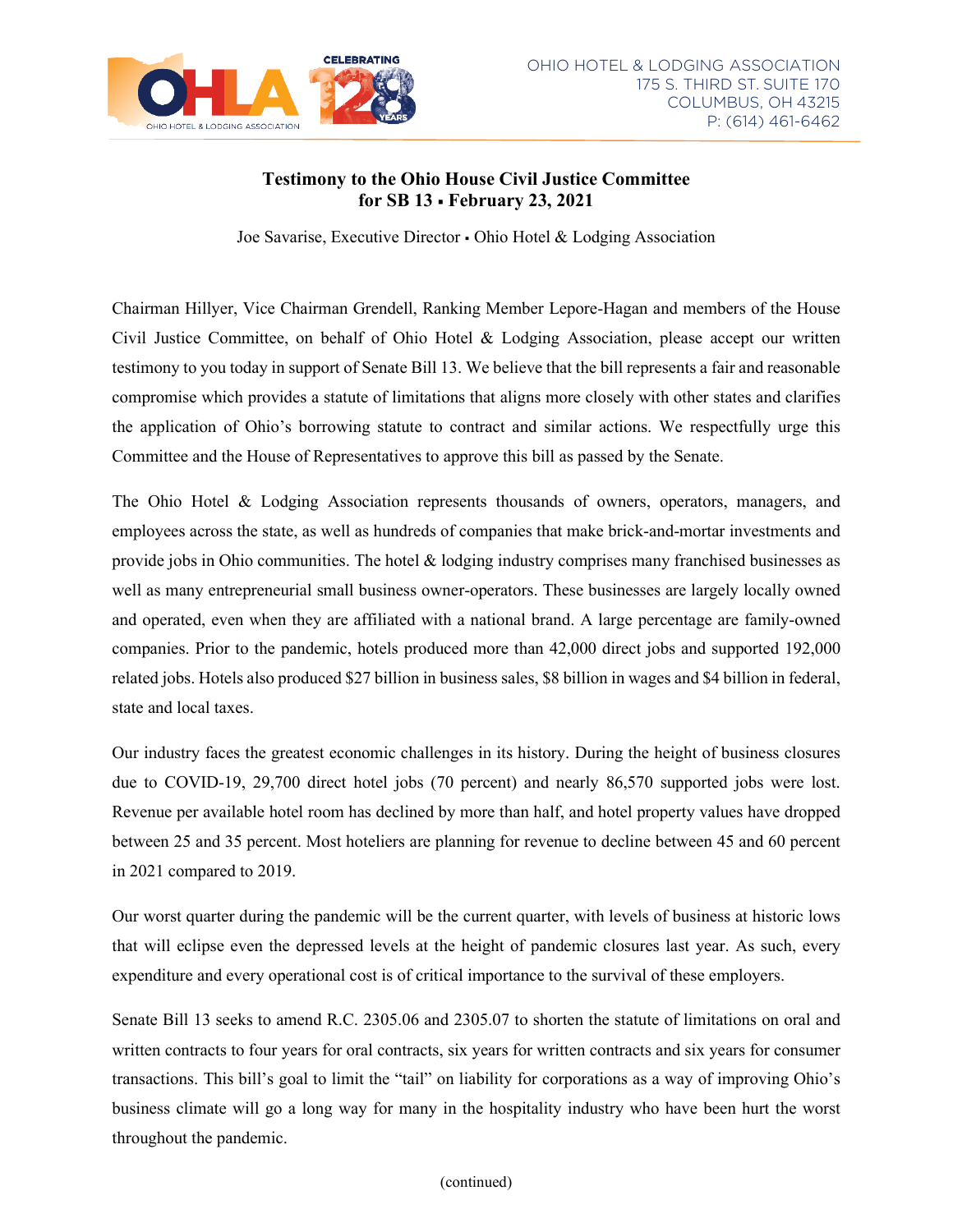

## **Testimony to the Ohio House Civil Justice Committee for SB 13 February 23, 2021**

Joe Savarise, Executive Director Ohio Hotel & Lodging Association

Chairman Hillyer, Vice Chairman Grendell, Ranking Member Lepore-Hagan and members of the House Civil Justice Committee, on behalf of Ohio Hotel & Lodging Association, please accept our written testimony to you today in support of Senate Bill 13. We believe that the bill represents a fair and reasonable compromise which provides a statute of limitations that aligns more closely with other states and clarifies the application of Ohio's borrowing statute to contract and similar actions. We respectfully urge this Committee and the House of Representatives to approve this bill as passed by the Senate.

The Ohio Hotel & Lodging Association represents thousands of owners, operators, managers, and employees across the state, as well as hundreds of companies that make brick-and-mortar investments and provide jobs in Ohio communities. The hotel & lodging industry comprises many franchised businesses as well as many entrepreneurial small business owner-operators. These businesses are largely locally owned and operated, even when they are affiliated with a national brand. A large percentage are family-owned companies. Prior to the pandemic, hotels produced more than 42,000 direct jobs and supported 192,000 related jobs. Hotels also produced \$27 billion in business sales, \$8 billion in wages and \$4 billion in federal, state and local taxes.

Our industry faces the greatest economic challenges in its history. During the height of business closures due to COVID-19, 29,700 direct hotel jobs (70 percent) and nearly 86,570 supported jobs were lost. Revenue per available hotel room has declined by more than half, and hotel property values have dropped between 25 and 35 percent. Most hoteliers are planning for revenue to decline between 45 and 60 percent in 2021 compared to 2019.

Our worst quarter during the pandemic will be the current quarter, with levels of business at historic lows that will eclipse even the depressed levels at the height of pandemic closures last year. As such, every expenditure and every operational cost is of critical importance to the survival of these employers.

Senate Bill 13 seeks to amend R.C. 2305.06 and 2305.07 to shorten the statute of limitations on oral and written contracts to four years for oral contracts, six years for written contracts and six years for consumer transactions. This bill's goal to limit the "tail" on liability for corporations as a way of improving Ohio's business climate will go a long way for many in the hospitality industry who have been hurt the worst throughout the pandemic.